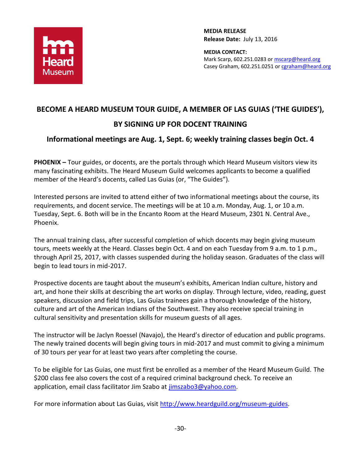

**MEDIA RELEASE Release Date:** July 13, 2016

**MEDIA CONTACT:** Mark Scarp, 602.251.0283 or [mscarp@heard.org](mailto:mscarp@heard.org) Casey Graham, 602.251.0251 o[r cgraham@heard.org](mailto:cgraham@heard.org)

## **BECOME A HEARD MUSEUM TOUR GUIDE, A MEMBER OF LAS GUIAS ('THE GUIDES'),**

## **BY SIGNING UP FOR DOCENT TRAINING**

## **Informational meetings are Aug. 1, Sept. 6; weekly training classes begin Oct. 4**

**PHOENIX –** Tour guides, or docents, are the portals through which Heard Museum visitors view its many fascinating exhibits. The Heard Museum Guild welcomes applicants to become a qualified member of the Heard's docents, called Las Guias (or, "The Guides").

Interested persons are invited to attend either of two informational meetings about the course, its requirements, and docent service. The meetings will be at 10 a.m. Monday, Aug. 1, or 10 a.m. Tuesday, Sept. 6. Both will be in the Encanto Room at the Heard Museum, 2301 N. Central Ave., Phoenix.

The annual training class, after successful completion of which docents may begin giving museum tours, meets weekly at the Heard. Classes begin Oct. 4 and on each Tuesday from 9 a.m. to 1 p.m., through April 25, 2017, with classes suspended during the holiday season. Graduates of the class will begin to lead tours in mid-2017.

Prospective docents are taught about the museum's exhibits, American Indian culture, history and art, and hone their skills at describing the art works on display. Through lecture, video, reading, guest speakers, discussion and field trips, Las Guias trainees gain a thorough knowledge of the history, culture and art of the American Indians of the Southwest. They also receive special training in cultural sensitivity and presentation skills for museum guests of all ages.

The instructor will be Jaclyn Roessel (Navajo), the Heard's director of education and public programs. The newly trained docents will begin giving tours in mid-2017 and must commit to giving a minimum of 30 tours per year for at least two years after completing the course.

To be eligible for Las Guias, one must first be enrolled as a member of the Heard Museum Guild. The \$200 class fee also covers the cost of a required criminal background check. To receive an application, email class facilitator Jim Szabo at [jimszabo3@yahoo.com.](mailto:jimszabo3@yahoo.com)

For more information about Las Guias, visit [http://www.heardguild.org/museum-guides.](http://www.heardguild.org/museum-guides)